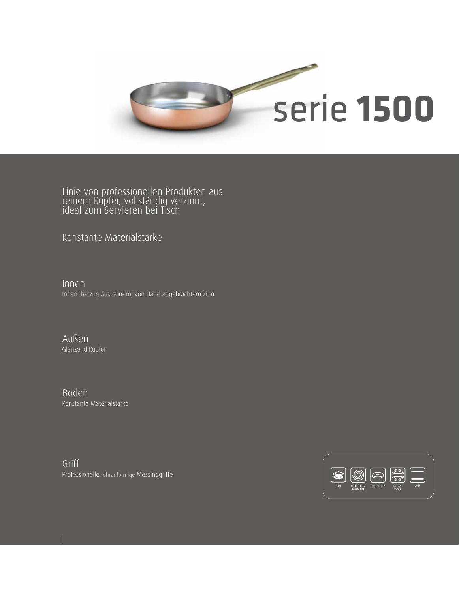

Linie von professionellen Produkten aus reinem Kupfer, vollständig verzinnt, ideal zum Servieren bei Tisch

Konstante Materialstärke

Innen Innenüberzug aus reinem, von Hand angebrachtem Zinn

Außen Glänzend Kupfer

Boden Konstante Materialstärke

Griff Professionelle röhrenförmige Messinggriffe

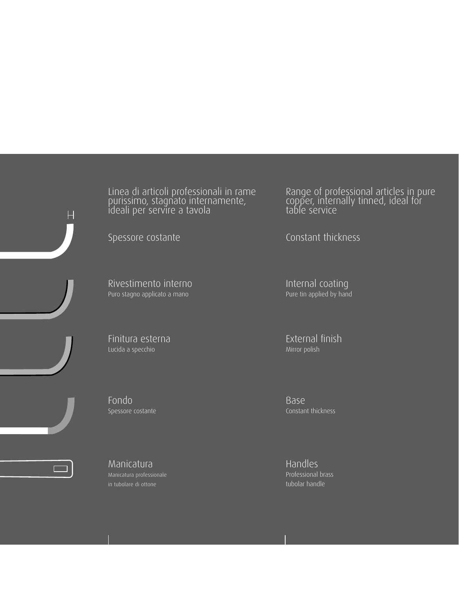Linea di articoli professionali in rame purissimo, stagnato internamente, ideali per servire a tavola

Rivestimento interno Puro stagno applicato a mano

Finitura esterna Lucida a specchio

Fondo Spessore costante



H

Manicatura Manicatura professionale in tubolare di ottone

Range of professional articles in pure copper, internally tinned, ideal for table service

Spessore costante Constant thickness

Internal coating Pure tin applied by hand

External finish Mirror polish

Base Constant thickness

Handles Professional brass tubolar handle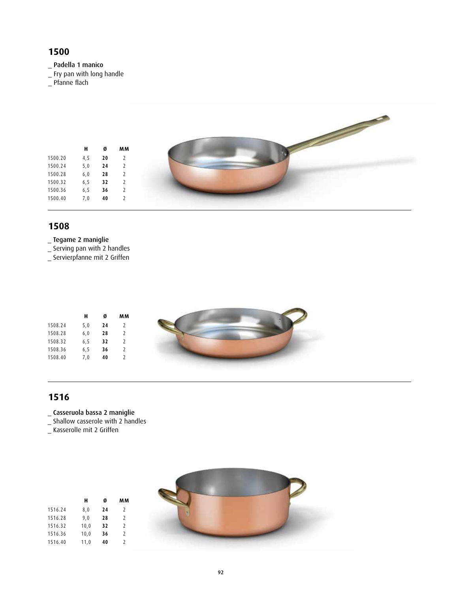#### **1500**

\_ Padella 1 manico

- \_ Fry pan with long handle
- \_ Pfanne flach

|         | H     | Ø          | MM             |
|---------|-------|------------|----------------|
| 1500.20 | 4,5   | ${\bf 20}$ | $\overline{2}$ |
| 1500.24 | 5,0   | 24         | $\overline{2}$ |
| 1500.28 | $6,0$ | ${\bf 28}$ | $\overline{2}$ |
| 1500.32 | 6, 5  | 32         | $\overline{2}$ |
| 1500.36 | 6, 5  | 36         | $\overline{2}$ |
| 1500.40 | 7,0   | ${\bf 40}$ | $\overline{2}$ |

#### **1508**

- \_ Tegame 2 maniglie
- \_ Serving pan with 2 handles
- \_ Servierpfanne mit 2 Griffen

|         | н    | Ø  | MM            |
|---------|------|----|---------------|
| 1508.24 | 5,0  | 24 | 2             |
| 1508.28 | 6,0  | 28 |               |
| 1508.32 | 6, 5 | 32 | 2             |
| 1508.36 | 6, 5 | 36 | 2             |
| 1508.40 | 7,0  | 40 | $\mathcal{L}$ |
|         |      |    |               |

## **1516**

- \_ Casseruola bassa 2 maniglie
- \_ Shallow casserole with 2 handles

**H Ø MM**

\_ Kasserolle mit 2 Griffen

1516.24 8,0 **24** 2 1516.28 9,0 **28** 2 1516.32 10,0 **32** 2 1516.36 10,0 **36** 2 1516.40 11,0 **40** 2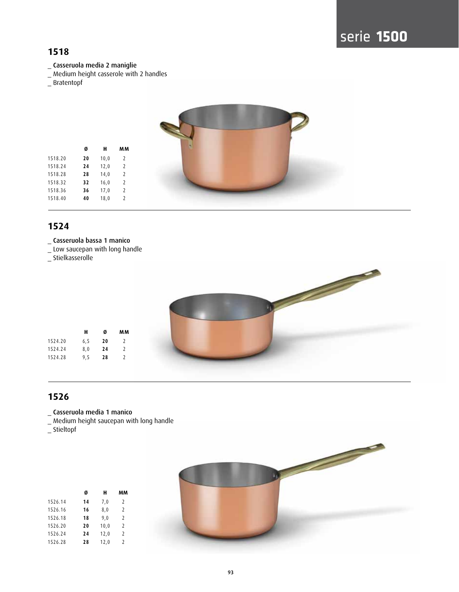### **1518**

- \_ Casseruola media 2 maniglie
- \_ Medium height casserole with 2 handles
- \_ Bratentopf



#### **1524**

- \_ Casseruola bassa 1 manico
- \_ Low saucepan with long handle
- \_ Stielkasserolle



#### **1526**

- \_ Casseruola media 1 manico
- \_ Medium height saucepan with long handle

\_ Stieltopf



|         | Ø  | н    | мм             |
|---------|----|------|----------------|
| 1526.14 | 14 | 7,0  | 2              |
| 1526.16 | 16 | 8,0  | 2              |
| 1526.18 | 18 | 9.0  | 2              |
| 1526.20 | 20 | 10,0 | 2              |
| 1526.24 | 24 | 12,0 | $\overline{2}$ |
| 1526.28 | 28 | 12,0 | $\mathcal{P}$  |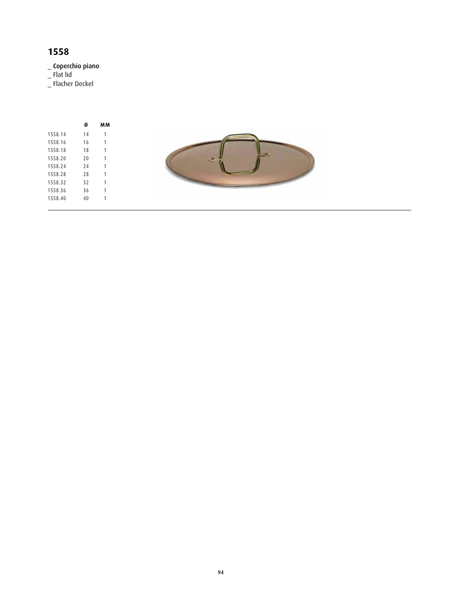# **1558**

\_ Coperchio piano

\_ Flat lid

\_ Flacher Deckel

|         | Ø  | мм |
|---------|----|----|
| 1558.14 | 14 | 1  |
| 1558.16 | 16 | 1  |
| 1558.18 | 18 | 1  |
| 1558.20 | 20 | 1  |
| 1558.24 | 74 | 1  |
| 1558.28 | 28 | 1  |
| 1558.32 | 32 | 1  |
| 1558.36 | 36 | 1  |
| 1558.40 | 40 |    |